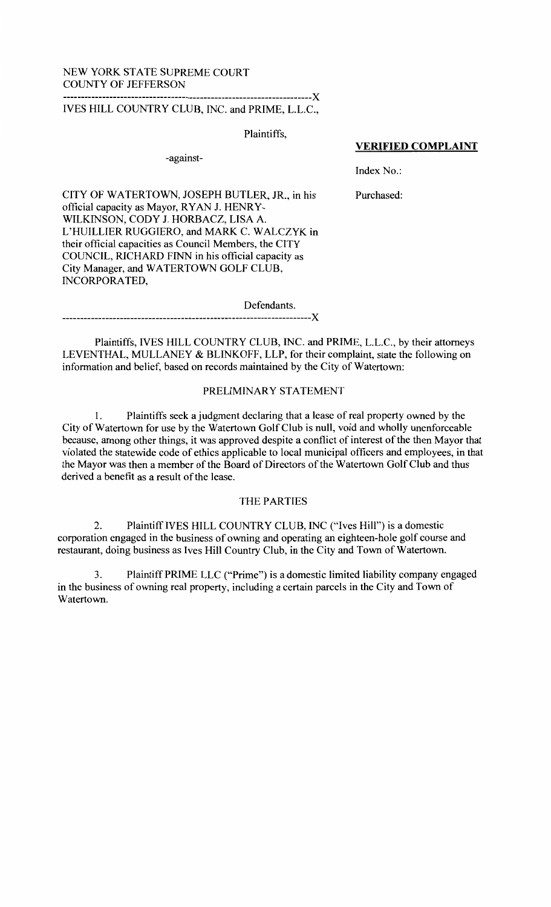#### NEW YORK STATE SUPREME COURT COUNTY OF JEFFERSON ---------------------------------------------------------------------)(

# IVES HILL COUNTRY CLUB, INC. and PRIME, L.L.C.,

Plaintiffs,

-against-

### **VERIFIED COMPLAINT**

Index No.:

CITY OF WATERTOWN, JOSEPH BUTLER, JR., in his official capacity as Mayor, RYAN J. HENRY-WILKINSON, CODY J. HORBACZ, LISA A. L'HUILLIER RUGGIERO, and MARK C. WALCZYK in their official capacities as Council Members, the CITY COUNCIL, RICHARD FINN in his official capacity as City Manager, and WATERTOWN GOLF CLUB, INCORPORATED,

Purchased:

Defendants.

---------------------------------------------------------------------)(

Plaintiffs, IVES HILL COUNTRY CLUB, INC. and PRIME, L.L.C., by their attorneys LEVENTHAL, MULLANEY & BLINKOFF, LLP, for their complaint, state the following on information and belief, based on records maintained by the City of Watertown:

## PRELIMINARY STATEMENT

1. Plaintiffs seek a judgment declaring that a lease of real property owned by the City of Watertown for use by the Watertown Golf Club is null, void and wholly unenforceable because, among other things, it was approved despite a conflict of interest of the then Mayor that violated the statewide code of ethics applicable to local municipal officers and employees, in that the Mayor was then a member of the Board of Directors of the Watertown Golf Club and thus derived a benefit as a result of the lease.

## THE PARTIES

2. PlaintiffiVES HILL COUNTRY CLUB, INC ("Ives Hill") is a domestic corporation engaged in the business of owning and operating an eighteen-hole golf course and restaurant, doing business as Ives Hill Country Club, in the City and Town of Watertown.

3. Plaintiff PRIME LLC ("Prime") is a domestic limited liability company engaged in the business of owning real property, including a certain parcels in the City and Town of Watertown.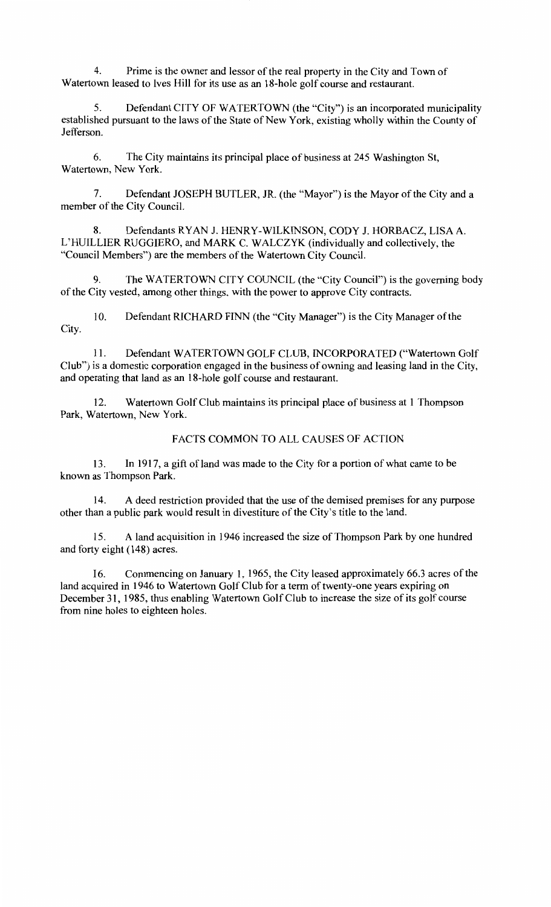4. Prime is the owner and lessor ofthe real property in the City and Town of Watertown leased to Ives Hill for its use as an 18-hole golf course and restaurant.

5. Defendant CITY OF WATERTOWN (the "City") is an incorporated municipality established pursuant to the laws of the State of New York, existing wholly within the County of Jefferson.

6. The City maintains its principal place of business at 245 Washington St, Watertown, New York.

7. Defendant JOSEPH BUTLER, JR. (the "Mayor") is the Mayor of the City and a member of the City Council.

8. Defendants RYAN J. HENRY-WILKINSON, CODY J. HORBACZ, LISA A. L'HUILLIER RUGGIERO, and MARK C. WALCZYK (individually and collectively, the "Council Members") are the members of the Watertown City Council.

9. TheW ATERTOWN CITY COUNCIL (the "City Council") is the governing body of the City vested, among other things, with the power to approve City contracts.

10. Defendant RICHARD FINN (the "City Manager") is the City Manager of the City.

11. Defendant WATERTOWN GOLF CLUB, INCORPORATED ("Watertown Golf Club") is a domestic corporation engaged in the business of owning and leasing land in the City, and operating that land as an 18-hole golf course and restaurant.

12. Watertown Golf Club maintains its principal place of business at 1 Thompson Park, Watertown, New York.

# FACTS COMMON TO ALL CAUSES OF ACTION

13. In 1917, a gift of land was made to the City for a portion of what came to be known as Thompson Park.

14. A deed restriction provided that the use of the demised premises for any purpose other than a public park would result in divestiture of the City's title to the land.

15. A land acquisition in 1946 increased the size of Thompson Park by one hundred and forty eight (148) acres.

16. Commencing on January 1, 1965, the City leased approximately 66.3 acres of the land acquired in 1946 to Watertown Golf Club for a term of twenty-one years expiring on December 31, 1985, thus enabling Watertown Golf Club to increase the size of its golf course from nine holes to eighteen holes.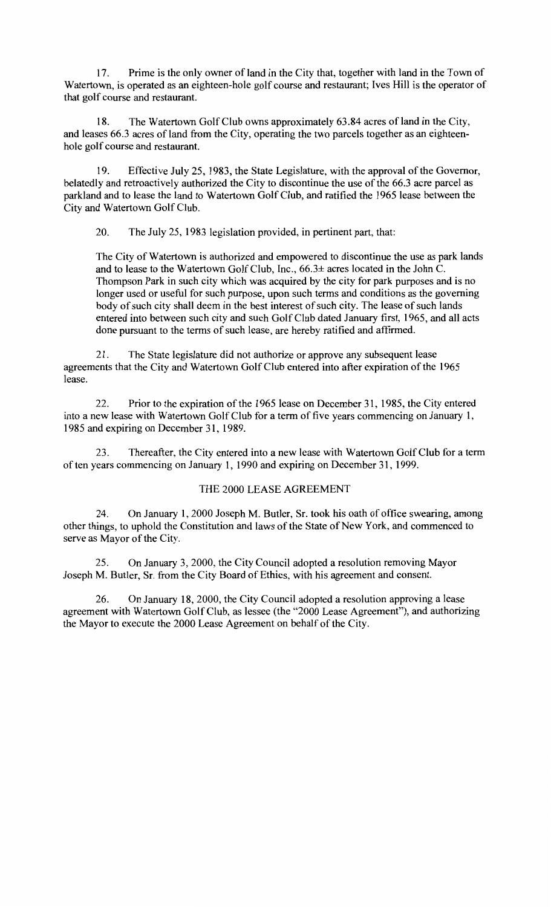17. Prime is the only owner of land in the City that, together with land in the Town of Watertown, is operated as an eighteen-hole golf course and restaurant; Ives Hill is the operator of that golf course and restaurant.

18. The Watertown Golf Club owns approximately 63.84 acres ofland in the City, and leases 66.3 acres of land from the City, operating the two parcels together as an eighteenhole golf course and restaurant.

19. Effective July 25, 1983, the State Legislature, with the approval of the Governor, belatedly and retroactively authorized the City to discontinue the use of the 66.3 acre parcel as parkland and to lease the land to Watertown Golf Club, and ratified the 1965 lease between the City and Watertown Golf Club.

20. The July 25, 1983 legislation provided, in pertinent part, that:

The City of Watertown is authorized and empowered to discontinue the use as park lands and to lease to the Watertown Golf Club, Inc., 66.3± acres located in the John C. Thompson Park in such city which was acquired by the city for park purposes and is no longer used or useful for such purpose, upon such terms and conditions as the governing body of such city shall deem in the best interest of such city. The lease of such lands entered into between such city and such Golf Club dated January first, 1965, and all acts done pursuant to the terms of such lease, are hereby ratified and affirmed.

21. The State legislature did not authorize or approve any subsequent lease agreements that the City and Watertown Golf Club entered into after expiration of the 1965 lease.

22. Prior to the expiration of the 1965 lease on December 31, 1985, the City entered into a new lease with Watertown Golf Club for a term of five years commencing on January 1, 1985 and expiring on December 31, 1989.

23. Thereafter, the City entered into a new lease with Watertown Golf Club for a term often years commencing on January 1, 1990 and expiring on December 31, 1999.

## THE 2000 LEASE AGREEMENT

24. On January 1, 2000 Joseph M. Butler, Sr. took his oath of office swearing, among other things, to uphold the Constitution and laws of the State of New York, and commenced to serve as Mayor of the City.

25. On January 3, 2000, the City Council adopted a resolution removing Mayor Joseph M. Butler, Sr. from the City Board of Ethics, with his agreement and consent.

26. On January 18, 2000, the City Council adopted a resolution approving a lease agreement with Watertown Golf Club, as lessee (the "2000 Lease Agreement"), and authorizing the Mayor to execute the 2000 Lease Agreement on behalf of the City.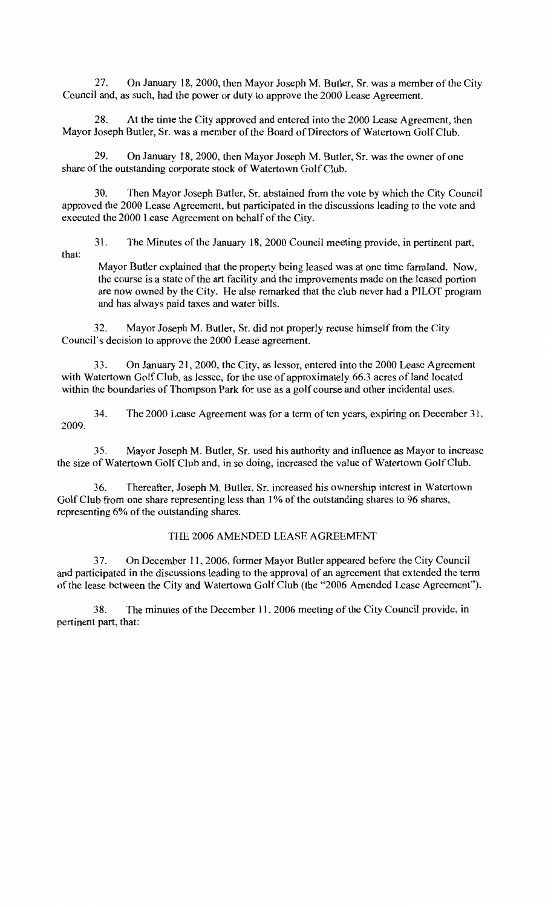27. On January I8, 2000, then Mayor Joseph M. Butler, Sr. was a member of the City Council and, as such, had the power or duty to approve the 2000 Lease Agreement.

28. At the time the City approved and entered into the 2000 Lease Agreement, then Mayor Joseph Butler, Sr. was a member of the Board of Directors of Watertown Golf Club.

29. On January I8, 2000, then Mayor Joseph M. Butler, Sr. was the owner of one share of the outstanding corporate stock of Watertown Golf Club.

30. Then Mayor Joseph Butler, Sr. abstained from the vote by which the City Council approved the 2000 Lease Agreement, but participated in the discussions leading to the vote and executed the 2000 Lease Agreement on behalf of the City.

that: 31. The Minutes of the January I8, 2000 Council meeting provide, in pertinent part,

Mayor Butler explained that the property being leased was at one time farmland. Now, the course is a state of the art facility and the improvements made on the leased portion are now owned by the City. He also remarked that the club never had a PILOT program and has always paid taxes and water bills.

32. Mayor Joseph M. Butler, Sr. did not properly recuse himself from the City Council's decision to approve the 2000 Lease agreement.

33. On January 2I, 2000, the City, as lessor, entered into the 2000 Lease Agreement with Watertown Golf Club, as lessee, for the use of approximately 66.3 acres of land located within the boundaries of Thompson Park for use as a golf course and other incidental uses.

34. The 2000 Lease Agreement was for a term of ten years, expiring on December 3I, 2009.

35. Mayor Joseph M. Butler, Sr. used his authority and influence as Mayor to increase the size of Watertown Golf Club and, in so doing, increased the value of Watertown Golf Club.

36. Thereafter, Joseph M. Butler, Sr. increased his ownership interest in Watertown Golf Club from one share representing less than 1% of the outstanding shares to 96 shares, representing 6% of the outstanding shares.

## THE 2006 AMENDED LEASE AGREEMENT

3 7. On December II, 2006, former Mayor Butler appeared before the City Council and participated in the discussions leading to the approval of an agreement that extended the term of the lease between the City and Watertown Golf Club (the "2006 Amended Lease Agreement").

38. The minutes of the December 11, 2006 meeting of the City Council provide, in pertinent part, that: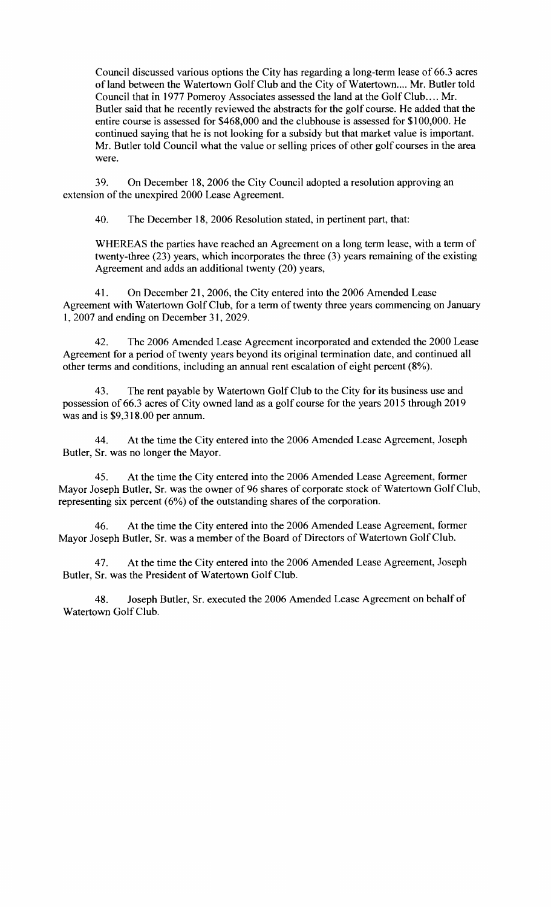Council discussed various options the City has regarding a long-term lease of 66.3 acres of land between the Watertown Golf Club and the City of Watertown.... Mr. Butler told Council that in 1977 Pomeroy Associates assessed the land at the Golf Club.... Mr. Butler said that he recently reviewed the abstracts for the golf course. He added that the entire course is assessed for \$468,000 and the clubhouse is assessed for \$100,000. He continued saying that he is not looking for a subsidy but that market value is important. Mr. Butler told Council what the value or selling prices of other golf courses in the area were.

39. On December 18, 2006 the City Council adopted a resolution approving an extension of the unexpired 2000 Lease Agreement.

40. The December 18, 2006 Resolution stated, in pertinent part, that:

WHEREAS the parties have reached an Agreement on a long term lease, with a term of twenty-three (23) years, which incorporates the three (3) years remaining of the existing Agreement and adds an additional twenty (20) years,

41. On December 21, 2006, the City entered into the 2006 Amended Lease Agreement with Watertown Golf Club, for a term of twenty three years commencing on January 1, 2007 and ending on December 31, 2029.

42. The 2006 Amended Lease Agreement incorporated and extended the 2000 Lease Agreement for a period of twenty years beyond its original termination date, and continued all other terms and conditions, including an annual rent escalation of eight percent (8%).

43. The rent payable by Watertown Golf Club to the City for its business use and possession of 66.3 acres of City owned land as a golf course for the years 2015 through 2019 was and is \$9,318.00 per annum.

44. At the time the City entered into the 2006 Amended Lease Agreement, Joseph Butler, Sr. was no longer the Mayor.

45. At the time the City entered into the 2006 Amended Lease Agreement, former Mayor Joseph Butler, Sr. was the owner of 96 shares of corporate stock of Watertown Golf Club, representing six percent  $(6%)$  of the outstanding shares of the corporation.

46. At the time the City entered into the 2006 Amended Lease Agreement, former Mayor Joseph Butler, Sr. was a member of the Board of Directors of Watertown Golf Club.

47. At the time the City entered into the 2006 Amended Lease Agreement, Joseph Butler, Sr. was the President of Watertown Golf Club.

48. Joseph Butler, Sr. executed the 2006 Amended Lease Agreement on behalf of Watertown Golf Club.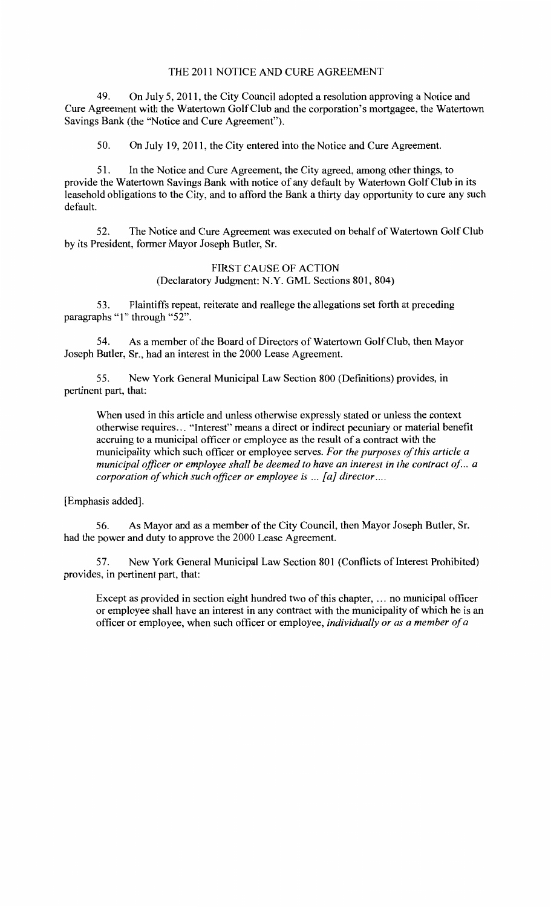### THE 2011 NOTICE AND CURE AGREEMENT

49. On July 5, 2011, the City Council adopted a resolution approving a Notice and Cure Agreement with the Watertown Golf Club and the corporation's mortgagee, the Watertown Savings Bank (the "Notice and Cure Agreement").

50. On July 19, 2011, the City entered into the Notice and Cure Agreement.

51. In the Notice and Cure Agreement, the City agreed, among other things, to provide the Watertown Savings Bank with notice of any default by Watertown Golf Club in its leasehold obligations to the City, and to afford the Bank a thirty day opportunity to cure any such default.

52. The Notice and Cure Agreement was executed on behalf of Watertown Golf Club by its President, former Mayor Joseph Butler, Sr.

## FIRST CAUSE OF ACTION (Declaratory Judgment: N.Y. GML Sections 801, 804)

53. Plaintiffs repeat, reiterate and reallege the allegations set forth at preceding paragraphs "1" through "52".

54. As a member of the Board of Directors of Watertown Golf Club, then Mayor Joseph Butler, Sr., had an interest in the 2000 Lease Agreement.

55. New York General Municipal Law Section 800 (Definitions) provides, in pertinent part, that:

When used in this article and unless otherwise expressly stated or unless the context otherwise requires ... "Interest" means a direct or indirect pecuniary or material benefit accruing to a municipal officer or employee as the result of a contract with the municipality which such officer or employee serves. *For the purposes of this article a municipal officer or employee shall be deemed to have an interest in the contract of .. a corporation of which such officer or employee is ... [a] director ....* 

[Emphasis added].

56. As Mayor and as a member of the City Council, then Mayor Joseph Butler, Sr. had the power and duty to approve the 2000 Lease Agreement.

57. New York General Municipal Law Section 801 (Conflicts of Interest Prohibited) provides, in pertinent part, that:

Except as provided in section eight hundred two of this chapter, ... no municipal officer or employee shall have an interest in any contract with the municipality of which he is an officer or employee, when such officer or employee, *individually or as a member of a*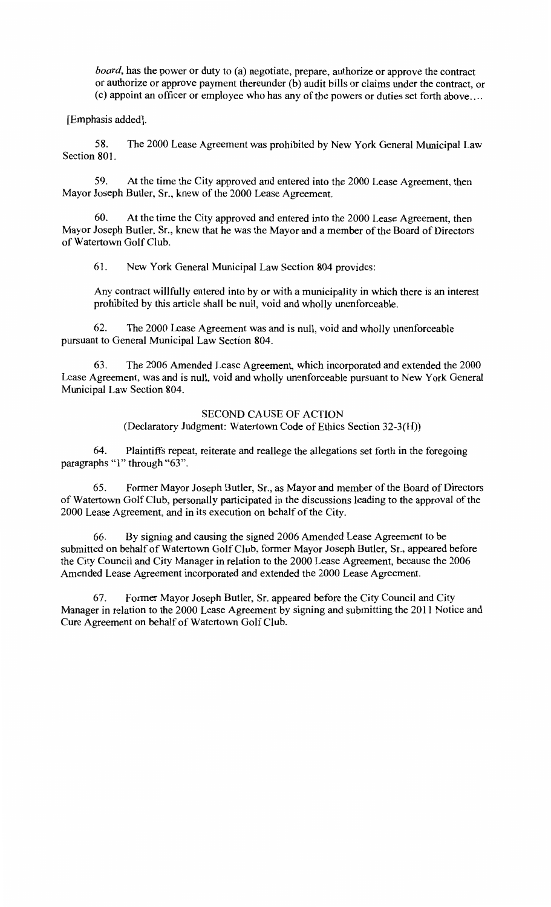*board,* has the power or duty to (a) negotiate, prepare, authorize or approve the contract or authorize or approve payment thereunder (b) audit bills or claims under the contract, or (c) appoint an officer or employee who has any of the powers or duties set forth above ....

[Emphasis added].

58. The 2000 Lease Agreement was prohibited by New York General Municipal Law Section 801.

59. At the time the City approved and entered into the 2000 Lease Agreement, then Mayor Joseph Butler, Sr., knew of the 2000 Lease Agreement.

60. At the time the City approved and entered into the 2000 Lease Agreement, then Mayor Joseph Butler, Sr., knew that he was the Mayor and a member of the Board of Directors of Watertown Golf Club.

61. New York General Municipal Law Section 804 provides:

Any contract willfully entered into by or with a municipality in which there is an interest prohibited by this article shall be null, void and wholly unenforceable.

62. The 2000 Lease Agreement was and is null, void and wholly unenforceable pursuant to General Municipal Law Section 804.

63. The 2006 Amended Lease Agreement, which incorporated and extended the 2000 Lease Agreement, was and is null, void and wholly unenforceable pursuant to New York General Municipal Law Section 804.

## SECOND CAUSE OF ACTION

(Declaratory Judgment: Watertown Code of Ethics Section 32-3(H))

64. Plaintiffs repeat, reiterate and reallege the allegations set forth in the foregoing paragraphs "1" through "63".

65. Former Mayor Joseph Butler, Sr., as Mayor and member of the Board of Directors of Watertown Golf Club, personally participated in the discussions leading to the approval of the 2000 Lease Agreement, and in its execution on behalf of the City.

66. By signing and causing the signed 2006 Amended Lease Agreement to be submitted on behalf of Watertown Golf Club, former Mayor Joseph Butler, Sr., appeared before the City Council and City Manager in relation to the 2000 Lease Agreement, because the 2006 Amended Lease Agreement incorporated and extended the 2000 Lease Agreement.

67. Former Mayor Joseph Butler, Sr. appeared before the City Council and City Manager in relation to the 2000 Lease Agreement by signing and submitting the 2011 Notice and Cure Agreement on behalf of Watertown Golf Club.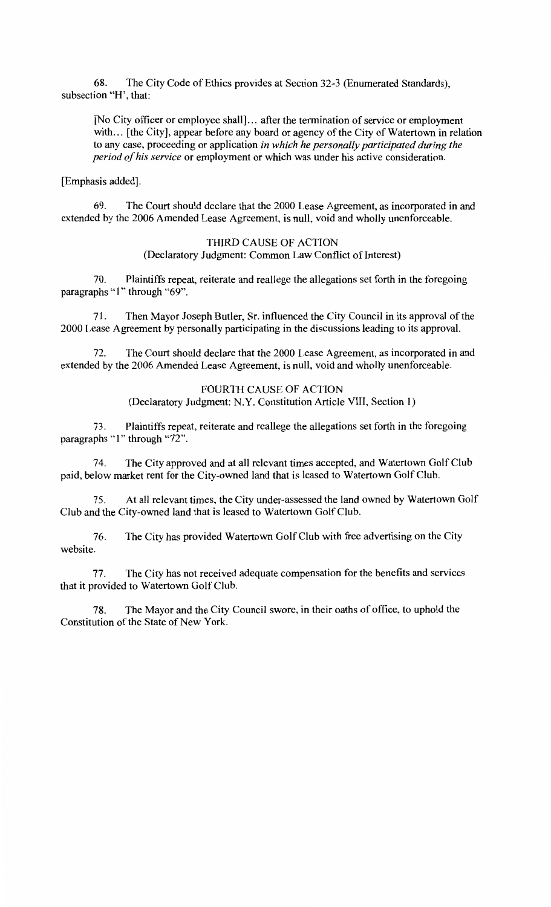68. The City Code of Ethics provides at Section 32-3 (Enwnerated Standards), subsection "H', that:

[No City officer or employee shall] ... after the termination of service or employment with... [the City], appear before any board or agency of the City of Watertown in relation to any case, proceeding or application *in which he personally participated during the period of his service* or employment or which was under his active consideration.

[Emphasis added].

69. The Court should declare that the 2000 Lease Agreement, as incorporated in and extended by the 2006 Amended Lease Agreement, is null, void and wholly unenforceable.

> THIRD CAUSE OF ACTION (Declaratory Judgment: Common Law Conflict of Interest)

70. Plaintiffs repeat, reiterate and reallege the allegations set forth in the foregoing paragraphs "1" through "69".

71. Then Mayor Joseph Butler, Sr. influenced the City Council in its approval of the 2000 Lease Agreement by personally participating in the discussions leading to its approval.

72. The Court should declare that the 2000 Lease Agreement, as incorporated in and extended by the 2006 Amended Lease Agreement, is null, void and wholly unenforceable.

> FOURTH CAUSE OF ACTION (Declaratory Judgment: N.Y. Constitution Article VIII, Section 1)

73. Plaintiffs repeat, reiterate and reallege the allegations set forth in the foregoing paragraphs "1" through "72".

74. The City approved and at all relevant times accepted, and Watertown Golf Club paid, below market rent for the City-owned land that is leased to Watertown Golf Club.

75. At all relevant times, the City under-assessed the land owned by Watertown Golf Club and the City-owned land that is leased to Watertown Golf Club.

76. The City has provided Watertown Golf Club with free advertising on the City website.

77. The City has not received adequate compensation for the benefits and services that it provided to Watertown Golf Club.

78. The Mayor and the City Council swore, in their oaths of office, to uphold the Constitution of the State of New York.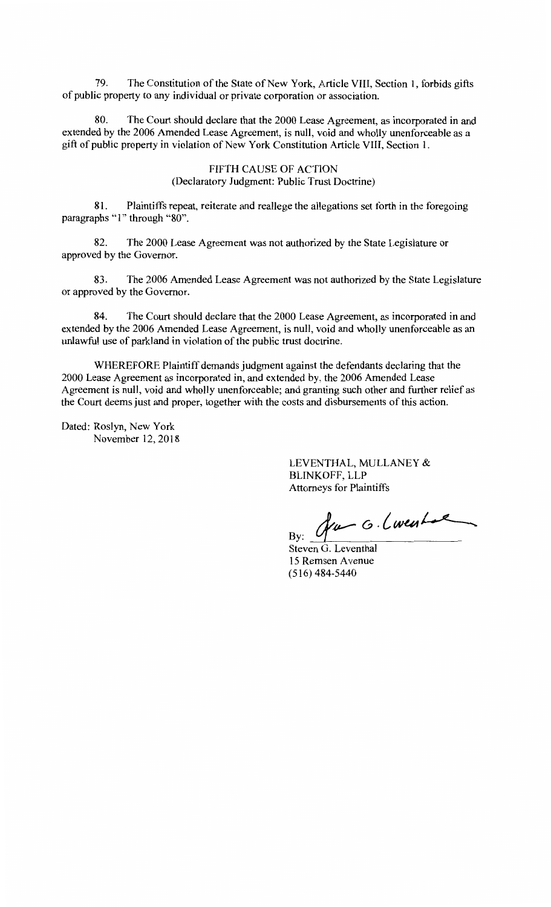79. The Constitution of the State of New York, Article VIII, Section 1, forbids gifts of public property to any individual or private corporation or association.

80. The Court should declare that the 2000 Lease Agreement, as incorporated in and extended by the 2006 Amended Lease Agreement, is null, void and wholly unenforceable as a gift of public property in violation of New York Constitution Article VIII, Section 1.

> FIFTH CAUSE OF ACTION (Declaratory Judgment: Public Trust Doctrine)

81. Plaintiffs repeat, reiterate and reallege the allegations set forth in the foregoing paragraphs "1" through "80".

82. The 2000 Lease Agreement was not authorized by the State Legislature or approved by the Governor.

83. The 2006 Amended Lease Agreement was not authorized by the State Legislature or approved by the Governor.

84. The Court should declare that the 2000 Lease Agreement, as incorporated in and extended by the 2006 Amended Lease Agreement, is null, void and wholly unenforceable as an unlawful use of parkland in violation of the public trust doctrine.

WHEREFORE Plaintiff demands judgment against the defendants declaring that the 2000 Lease Agreement as incorporated in, and extended by, the 2006 Amended Lease Agreement is null, void and wholly unenforceable; and granting such other and further relief as the Court deems just and proper, together with the costs and disbursements of this action.

Dated: Roslyn, New York November 12,2018

> LEVENTHAL, MULLANEY & BLINKOFF, LLP Attorneys for Plaintiffs

 $By:$  fur G. (went

Steven G. Leventhal 15 Remsen A venue (516) 484-5440